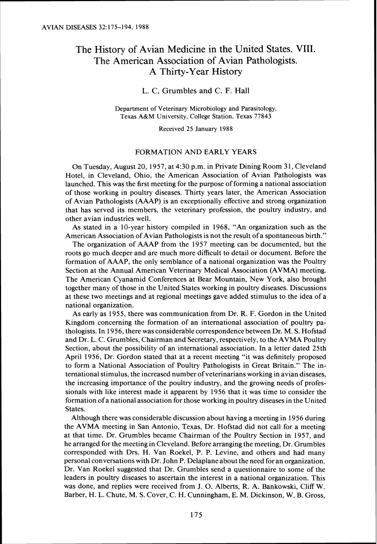# The History of Avian Medicine in the United States. VIII. The American Association of Avian Pathologists. A Thirty-Year History

# L. C. Grumbles and C. F. Hall

Department of Veterinary Microbiology and Parasitology, Texas A&M University, College Station, Texas 77843

Received 25 January 1988

# FORMATION AND EARLY YEARS

On Tuesday, August 20, 1957, at 4:30 p.m. in Private Dining Room 31, Cleveland Hotel, in Cleveland, Ohio, the American Association of Avian Pathologists was launched. This was the first meeting for the purpose of forming a national association of those working in poultry diseases. Thirty years later, the American Association of Avian Pathologists (AAAP) is an exceptionally effective and strong organization that has served its members, the veterinary profession, the poultry industry, and other avian industries well.

As stated in a 10-year history compiled in 1968, "An organization such as the American Association of Avian Pathologists is not the result of a spontaneous birth."

The organization of AAAP from the 1957 meeting can be documented, but the roots go much deeper and are much more difficult to detail or document. Before the formation of AAAP, the only semblance of a national organization was the Poultry Section at the Annual American Veterinary Medical Association (AVMA) meeting. The American Cyanamid Conferences at Bear Mountain, New York, also brought together many of those in the United States working in poultry diseases. Discussions at these two meetings and at regional meetings gave added stimulus to the idea of a national organization.

As early as 1955, there was communication from Dr. R. F. Gordon in the United Kingdom concerning the formation of an international association of poultry pathologists. In 1956, there was considerable correspondence between Dr. M. S. Hofstad and Dr. L. C. Grumbles, Chairman and Secretary, respectively, to the AVMA Poultry Section, about the possibility of an international association. In a letter dated 25th April 1956, Dr. Gordon stated that at a recent meeting "it was definitely proposed to form a National Association of Poultry Pathologists in Great Britain." The international stimulus, the increased number of veterinarians working in avian diseases, the increasing importance of the poultry industry, and the growing needs of professionals with like interest made it apparent by 1956 that it was time to consider the formation of a national association for those working in poultry diseases in the United States.

Although there was considerable discussion about having a meeting in 1956 during the AVMA meeting in San Antonio, Texas, Dr. Hofstad did not call for a meeting at that time. Dr. Grumbles became Chairman of the Poultry Section in 1957, and he arranged for the meeting in Cleveland. Before arranging the meeting, Dr. Grumbles corresponded with Drs. H. Van Roekel, P. P. Levine, and others and had many personal conversations with Dr. John P. Delaplane about the need for an organization. Dr. Van Roekel suggested that Dr. Grumbles send a questionnaire to some of the leaders in poultry diseases to ascertain the interest in a national organization. This was done, and replies were received from J. 0. Alberts, R. A. Bankowski, Cliff W. Barber, H. L. Chute, M. S. Cover, C. H. Cunningham, E. M. Dickinson, W. B. Gross,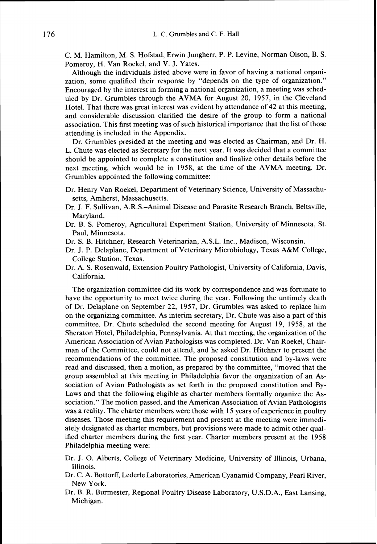C. M. Hamilton, M. S. Hofstad, Erwin Jungherr, P. P. Levine, Norman Olson, B. S. Pomeroy, H. Van Roekel, and V. J. Yates.

Although the individuals listed above were in favor of having a national organization, some qualified their response by "depends on the type of organization." Encouraged by the interest in forming a national organization, a meeting was scheduled by Dr. Grumbles through the AVMA for August 20, 1957, in the Cleveland Hotel. That there was great interest was evident by attendance of 42 at this meeting, and considerable discussion clarified the desire of the group to form a national association. This first meeting was of such historical importance that the list of those attending is included in the Appendix.

Dr. Grumbles presided at the meeting and was elected as Chairman, and Dr. H. L. Chute was elected as Secretary for the next year. It was decided that a committee should be appointed to complete a constitution and finalize other details before the next meeting, which would be in 1958, at the time of the AVMA meeting. Dr. Grumbles appointed the following committee:

- Dr. Henry Van Roekel, Department of Veterinary Science, University of Massachusetts, Amherst, Massachusetts.
- Dr. J. F. Sullivan, A.R.S.-Animal Disease and Parasite Research Branch, Beltsville, Maryland.
- Dr. B. S. Pomeroy, Agricultural Experiment Station, University of Minnesota, St. Paul, Minnesota.
- Dr. S. B. Hitchner, Research Veterinarian, A.S.L. Inc., Madison, Wisconsin.
- Dr. J. P. Delaplane, Department of Veterinary Microbiology, Texas A&M College, College Station, Texas.
- Dr. A. S. Rosenwald, Extension Poultry Pathologist, University of California, Davis, California.

The organization committee did its work by correspondence and was fortunate to have the opportunity to meet twice during the year. Following the untimely death of Dr. Delaplane on September 22, 1957, Dr. Grumbles was asked to replace him on the organizing committee. As interim secretary, Dr. Chute was also a part of this committee. Dr. Chute scheduled the second meeting for August 19, 1958, at the Sheraton Hotel, Philadelphia, Pennsylvania. At that meeting, the organization of the American Association of Avian Pathologists was completed. Dr. Van Roekel, Chairman of the Committee, could not attend, and he asked Dr. Hitchner to present the recommendations of the committee. The proposed constitution and by-laws were read and discussed, then a motion, as prepared by the committee, "moved that the group assembled at this meeting in Philadelphia favor the organization of an Association of Avian Pathologists as set forth in the proposed constitution and By-Laws and that the following eligible as charter members formally organize the Association." The motion passed, and the American Association of Avian Pathologists was a reality. The charter members were those with 15 years of experience in poultry diseases. Those meeting this requirement and present at the meeting were immediately designated as charter members, but provisions were made to admit other qualified charter members during the first year. Charter members present at the 1958 Philadelphia meeting were:

Dr. J. *0.*Alberts, College of Veterinary Medicine, University of Illinois, Urbana, Illinois.

- Dr. C. A. Bottorff, Lederle Laboratories, American Cyanamid Company, Pearl River, New York.
- Dr. B. R. Burmester, Regional Poultry Disease Laboratory, U.S.D.A., East Lansing, Michigan.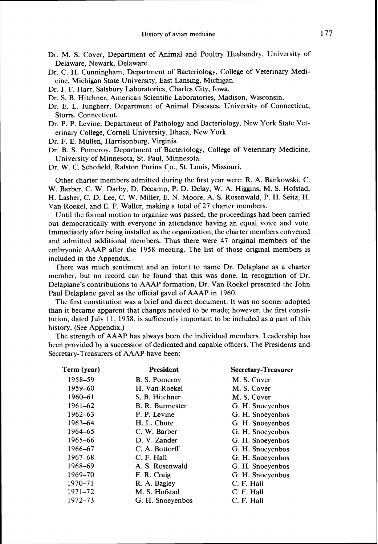- Dr. M. S. Cover, Department of Animal and Poultry Husbandry, University of Delaware, Newark, Delaware.
- Dr. C. H. Cunningham, Department of Bacteriology, College of Veterinary Medicine, Michigan State University, East Lansing, Michigan.
- Dr. J. F. Harr, Salsbury Laboratories, Charles City, Iowa.
- Dr. S. B. Hitchner, American Scientific Laboratories, Madison, Wisconsin.
- Dr. E. L. Jungherr, Department of Animal Diseases, University of Connecticut, Storrs, Connecticut.
- Dr. P. P. Levine, Department of Pathology and Bacteriology, New York State Veterinary College, Cornell University, Ithaca, New York.
- Dr. F. E. Mullen, Harrisonburg, Virginia.
- Dr. B. S. Pomeroy, Department of Bacteriology, College of Veterinary Medicine, University of Minnesota, St. Paul, Minnesota.
- Dr. W. C. Schofield, Ralston Purina Co., St. Louis, Missouri.

Other charter members admitted during the first year were: R. A. Bankowski, C. W. Barber, C. W. Darby, D. Decamp, P. D. Delay, W. A. Higgins, M. S. Hofstad, H. Lasher, C. D. Lee, C. W. Miller, E. N. Moore, A. S. Rosenwald, P. H. Seitz, H. Van Roekel, and E. F. Waller, making a total of 27 charter members.

Until the formal motion to organize was passed, the proceedings had been camed out democratically with everyone in attendance having an equal voice and vote. Immediately after being installed as the organization, the charter members convened and admitted additional members. Thus there were 47 original members of the embryonic AAAP after the 1958 meeting. The list of those original members is included in the Appendix.

There was much sentiment and an intent to name Dr. Delaplane as a charter member, but no record can be found that this was done. In recognition of Dr. Delaplane's contributions to AAAP formation, Dr. Van Roekel presented the John Paul Delaplane gavel as the official gavel of AAAP in 1960.

The first constitution was a brief and direct document. It was no sooner adopted than it became apparent that changes needed to be made; however, the first constitution, dated July 11, 1958, is sufficiently important to be included as a part of this history. (See Appendix.)

The strength of AAAP has always been the individual members. Leadership has been provided by a succession of dedicated and capable officers. The Presidents and Secretary-Treasurers of AAAP have been:

| Term (year) | <b>President</b> | <b>Secretary-Treasurer</b> |
|-------------|------------------|----------------------------|
| 1958-59     | B. S. Pomeroy    | M. S. Cover                |
| 1959-60     | H. Van Roekel    | M. S. Cover                |
| 1960-61     | S. B. Hitchner   | M. S. Cover                |
| $1961 - 62$ | B. R. Burmester  | G. H. Snoeyenbos           |
| 1962–63     | P. P. Levine     | G. H. Snoeyenbos           |
| 1963–64     | H. L. Chute      | G. H. Snoevenbos           |
| 1964–65     | C. W. Barber     | G. H. Snoeyenbos           |
| 1965–66     | D. V. Zander     | G. H. Snoeyenbos           |
| 1966-67     | C. A. Bottorff   | G. H. Snoeyenbos           |
| 1967–68     | C. F. Hall       | G. H. Snoeyenbos           |
| 1968-69     | A. S. Rosenwald  | G. H. Snoeyenbos           |
| 1969-70     | F. R. Craig      | G. H. Snoeyenbos           |
| 1970-71     | R. A. Bagley     | C. F. Hall                 |
| $1971 - 72$ | M. S. Hofstad    | C. F. Hall                 |
| 1972–73     | G. H. Snoeyenbos | C. F. Hall                 |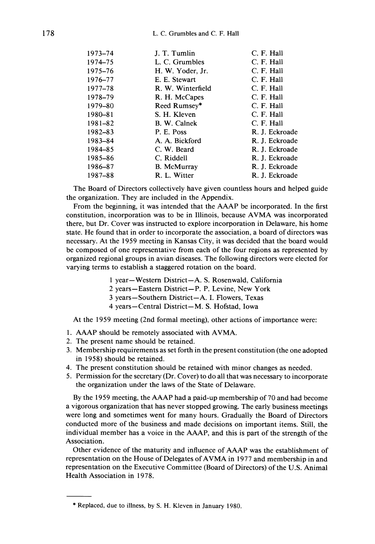| 1973-74     | J. T. Tumlin       | C. F. Hall     |
|-------------|--------------------|----------------|
| 1974–75     | L. C. Grumbles     | C. F. Hall     |
| 1975-76     | H. W. Yoder, Jr.   | C. F. Hall     |
| 1976–77     | E. E. Stewart      | C. F. Hall     |
| 1977-78     | R. W. Winterfield  | C. F. Hall     |
| 1978-79     | R. H. McCapes      | C. F. Hall     |
| 1979-80     | Reed Rumsey*       | C. F. Hall     |
| 1980-81     | S. H. Kleven       | C. F. Hall     |
| $1981 - 82$ | B. W. Calnek       | C. F. Hall     |
| 1982-83     | P. E. Poss         | R. J. Eckroade |
| 1983-84     | A. A. Bickford     | R. J. Eckroade |
| 1984-85     | C. W. Beard        | R. J. Eckroade |
| 1985-86     | C. Riddell         | R. J. Eckroade |
| 1986-87     | <b>B.</b> McMurray | R. J. Eckroade |
| 1987–88     | R. L. Witter       | R. J. Eckroade |

The Board of Directors collectively have given countless hours and helped guide the organization. They are included in the Appendix.

From the beginning, it was intended that the AAAP be incorporated. In the first constitution, incorporation was to be in Illinois, because AVMA was incorporated there, but Dr. Cover was instructed to explore incorporation in Delaware, his home state. He found that in order to incorporate the association, a board of directors was necessary. At the 1959 meeting in Kansas City, it was decided that the board would be composed of one representative from each of the four regions as represented by organized regional groups in avian diseases. The following directors were elected for varying terms to establish a staggered rotation on the board.

- 1 year-Westem District-A. S. Rosenwald, California
- 2 years-Eastem District-P. P. Levine, New York
- 3 years-Southem District-A. I. Flowers, Texas
- 4 years-Central District-M. S. Hofstad, Iowa

At the 1959 meeting (2nd formal meeting), other actions of importance were:

- 1. AAAP should be remotely associated with AVMA.
- 2. The present name should be retained.
- 3. Membership requirements as set forth in the present constitution (the one adopted in 1958) should be retained.
- 4. The present constitution should be retained with minor changes as needed.
- 5. Permission for the secretary (Dr. Cover) to do all that was necessary to incorporate the organization under the laws of the State of Delaware.

By the 1959 meeting, the AAAP had a paid-up membership of 70 and had become a vigorous organization that has never stopped growing. The early business meetings were long and sometimes went for many hours. Gradually the Board of Directors conducted more of the business and made decisions on important items. Still, the individual member has a voice in the AAAP, and this is part of the strength of the Association.

Other evidence of the maturity and influence of AAAP was the establishment of representation on the House of Delegates of AVMA in 1977 and membership in and representation on the Executive Committee (Board of Directors) of the U.S. Animal Health Association in 1978.

<sup>\*</sup> Replaced, due to illness, by S. H. Kleven in January 1980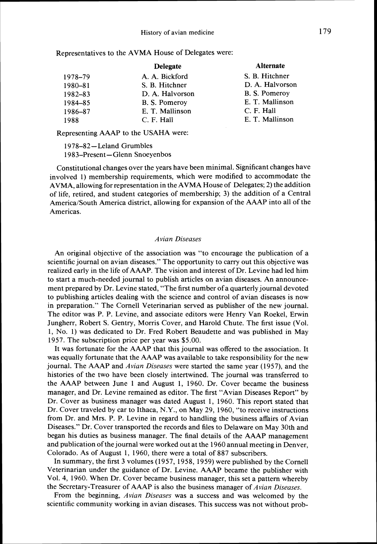Representatives to the AVMA House of Delegates were:

|             | <b>Delegate</b> | <b>Alternate</b> |
|-------------|-----------------|------------------|
| 1978–79     | A. A. Bickford  | S. B. Hitchner   |
| 1980-81     | S. B. Hitchner  | D. A. Halvorson  |
| $1982 - 83$ | D. A. Halvorson | B. S. Pomeroy    |
| 1984-85     | B. S. Pomeroy   | E. T. Mallinson  |
| 1986-87     | E. T. Mallinson | C. F. Hall       |
| 1988        | C. F. Hall      | E. T. Mallinson  |
|             |                 |                  |

Representing AAAP to the USAHA were:

1978–82 – Leland Grumbles 1983–Present – Glenn Snoeyenbos

Constitutional changes over the years have been minimal. Significant changes have involved 1) membership requirements, which were modified to accommodate the AVMA, allowing for representation in the AVMA House of Delegates; 2) the addition of life, retired, and student categories of membership; 3) the addition of a Central America/South America district, allowing for expansion of the AAAP into all of the Americas.

#### *Avian Diseases*

An original objective of the association was "to encourage the publication of a scientific journal on avian diseases." The opportunity to carry out this objective was realized early in the life of AAAP. The vision and interest of Dr. Levine had led him to start a much-needed journal to publish articles on avian diseases. An announcement prepared by Dr. Levine stated, "The first number of a quarterly journal devoted to publishing articles dealing with the science and control of avian diseases is now in preparation." The Cornell Veterinarian served as publisher of the new journal. The editor was P. P. Levine, and associate editors were Henry Van Roekel, Erwin Jungherr, Robert S. Gentry, Morris Cover, and Harold Chute. The first issue (Vol. 1, No. 1) was dedicated to Dr. Fred Robert Beaudette and was published in May 1957. The subscription price per year was \$5.00.

It was fortunate for the AAAP that this journal was offered to the association. It was equally fortunate that the AAAP was available to take responsibility for the new journal. The AAAP and *Avian Diseases* were started the same year (1957), and the histories of the two have been closely intertwined. The journal was transferred to the AAAP between June 1 and August 1, 1960. Dr. Cover became the business manager, and Dr. Levine remained as editor. The first "Avian Diseases Report" by Dr. Cover as business manager was dated August 1, 1960. This report stated that Dr. Cover traveled by car to Ithaca, N.Y., on May 29, 1960, "to receive instructions from Dr. and Mrs. P. P. Levine in regard to handling the business affairs of Avian Diseases." Dr. Cover transported the records and files to Delaware on May 30th and began his duties as business manager. The final details of the AAAP management and publication of the journal were worked out at the 1960 annual meeting in Denver, Colorado. As of August 1, 1960, there were a total of 887 subscribers.

In summary, the first 3 volumes (1957, 1958, 1959) were published by the Cornell Veterinarian under the guidance of Dr. Levine. AAAP became the publisher with Vol. 4, 1960. When Dr. Cover became business manager, this set a pattern whereby the Secretary-Treasurer of AAAP is also the business manager of *Avian Diseases.* 

From the beginning. *Avian Diseases* was a success and was welcomed by the scientific community working in avian diseases. This success was not without prob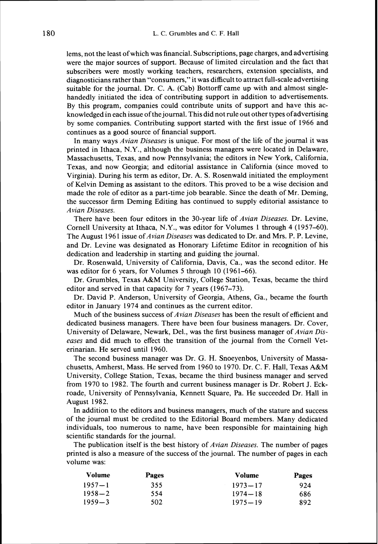lems, not the least of which was financial. Subscriptions, page charges, and advertising were the major sources of support. Because of limited circulation and the fact that subscribers were mostly working teachers, researchers, extension specialists, and diagnosticians rather than "consumers," it was difficult to attract full-scale advertising suitable for the journal. Dr. C. A. (Cab) Bottorff came up with and almost singlehandedly initiated the idea of contributing support in addition to advertisements. By this program, companies could contribute units of support and have this acknowledged in each issue of the journal. This did not rule out other types ofadvertising by some companies. Contributing support started with the first issue of 1966 and continues as a good source of financial support.

In many ways *Avian Diseases* is unique. For most of the life of the journal it was printed in Ithaca, N.Y., although the business managers were located in Delaware, Massachusetts, Texas, and now Pennsylvania; the editors in New York, California, Texas, and now Georgia; and editorial assistance in California (since moved to Virginia). During his term as editor, Dr. A. S. Rosenwald initiated the employment of Kelvin Deming as assistant to the editors. This proved to be a wise decision and made the role of editor as a part-time job bearable. Since the death of Mr. Deming, the successor firm Deming Editing has continued to supply editorial assistance to *Avian Dlseases.* 

There have been four editors in the 30-year life of *Avian Diseases.* Dr. Levine, Cornell University at Ithaca, N.Y., was editor for Volumes 1 through 4 (1957-60). The August 196 1 issue of *Avian Dlseases* was dedicated to Dr. and Mrs. P. P. Levine, and Dr. Levine was designated as Honorary Lifetime Editor in recognition of his dedication and leadership in starting and guiding the journal.

Dr. Rosenwald, University of California, Davis, Ca., was the second editor. He was editor for 6 years, for Volumes 5 through 10 (1961–66).

Dr. Grumbles, Texas A&M University, College Station, Texas, became the third editor and served in that capacity for 7 years (1967-73).

Dr. David P. Anderson, University of Georgia, Athens, Ga., became the fourth editor in January 1974 and continues as the current editor.

Much of the business success of *Avian Diseases* has been the result of efficient and dedicated business managers. There have been four business managers. Dr. Cover, University of Delaware, Newark, Del., was the first business manager of *Avian Diseases* and did much to effect the transition of the journal from the Cornell Veterinarian. He served until 1960.

The second business manager was Dr. G. H. Snoeyenbos, University of Massachusetts, Amherst, Mass. He served from 1960 to 1970. Dr. C. F. Hall, Texas A&M University, College Station, Texas, became the third business manager and served from 1970 to 1982. The fourth and current business manager is Dr. Robert J. Eckroade, University of Pennsylvania, Kennett Square, Pa. He succeeded Dr. Hall in August 1982.

In addition to the editors and business managers, much of the stature and success of the journal must be credited to the Editorial Board members. Many dedicated individuals, too numerous to name, have been responsible for maintaining high scientific standards for the journal.

The publication itself is the best history of *Avian Diseases.* The number of pages printed is also a measure of the success of the journal. The number of pages in each volume was:

| Volume     | Pages | Volume      | Pages |
|------------|-------|-------------|-------|
| $1957 - 1$ | 355   | 1973—17     | 924   |
| $1958 - 2$ | 554   | $1974 - 18$ | 686   |
| $1959 - 3$ | 502   | $1975 - 19$ | 892   |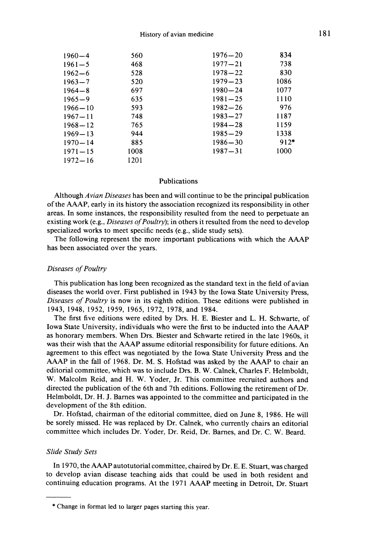| $1960 - 4$  | 560  | $1976 - 20$ | 834    |
|-------------|------|-------------|--------|
| $1961 - 5$  | 468  | $1977 - 21$ | 738    |
| $1962 - 6$  | 528  | $1978 - 22$ | 830    |
| $1963 - 7$  | 520  | $1979 - 23$ | 1086   |
| $1964 - 8$  | 697  | $1980 - 24$ | 1077   |
| $1965 - 9$  | 635  | $1981 - 25$ | 1110   |
| $1966 - 10$ | 593  | $1982 - 26$ | 976    |
| $1967 - 11$ | 748  | $1983 - 27$ | 1187   |
| $1968 - 12$ | 765  | $1984 - 28$ | 1159   |
| $1969 - 13$ | 944  | $1985 - 29$ | 1338   |
| $1970 - 14$ | 885  | $1986 - 30$ | $912*$ |
| $1971 - 15$ | 1008 | $1987 - 31$ | 1000   |
| $1972 - 16$ | 1201 |             |        |

### Publications

Although *Avian Diseases* has been and will continue to be the principal publication of the AAAP, early in its history the association recognized its responsibility in other areas. In some instances, the responsibility resulted from the need to perpetuate an existing work (e.g., *Diseases of Poultry);* in others it resulted from the need to develop specialized works to meet specific needs (e.g., slide study sets).

The following represent the more important publications with which the AAAP has been associated over the years.

### *Diseases of Poultry*

This publication has long been recognized as the standard text in the field of avian diseases the world over. First published in 1943 by the Iowa State University Press, *Diseases of Poultry* is now in its eighth edition. These editions were published in 1943, 1948, 1952, 1959, 1965, 1972, 1978, and 1984.

The first five editions were edited by Drs. H. E. Biester and L. H. Schwarte, of Iowa State University, individuals who were the first to be inducted into the AAAP as honorary members. When Drs. Biester and Schwarte retired in the late 1960s, it was their wish that the AAAP assume editorial responsibility for future editions. An agreement to this effect was negotiated by the Iowa State University Press and the AAAP in the fall of 1968. Dr. M. S. Hofstad was asked by the AAAP to chair an editorial committee, which was to include Drs. B. W. Calnek, Charles F. Helmboldt, W. Malcolm Reid, and H. W. Yoder, Jr. This committee recruited authors and directed the publication of the 6th and 7th editions. Following the retirement of Dr. Helmboldt, Dr. H. J. Barnes was appointed to the committee and participated in the development of the 8th edition.

Dr. Hofstad, chairman of the editorial committee, died on June 8, 1986. He will be sorely missed. He was replaced by Dr. Calnek, who currently chairs an editorial committee which includes Dr. Yoder, Dr. Reid, Dr. Barnes, and Dr. C. W. Beard.

### *Slide Study Sets*

In 1970, the AAAP autotutorial committee, chaired by Dr. E. E. Stuart, was charged to develop avian disease teaching aids that could be used in both resident and continuing education programs. At the 197 1 AAAP meeting in Detroit, Dr. Stuart

<sup>\*</sup> Change in format led to larger pages starting this year.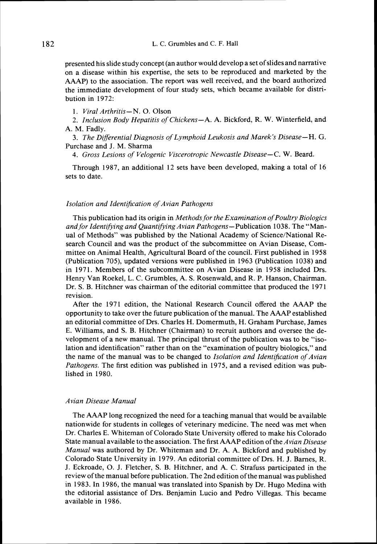presented his slide study concept (an author would develop a set of slides and narrative on a disease within his expertise, the sets to be reproduced and marketed by the AAAP) to the association. The report was well received, and the board authorized the immediate development of four study sets, which became available for distribution in 1972:

1. *Viral Arthritis-N.* 0. Olson

2. *Inclusion Body Hepatitis of Chickens-A.* A. Bickford, R. W. Winterfield, and A. M. Fadly.

3. *The Differential Diagnosis of Lymphoid Leukosis and Marek's Disease*-H. G. Purchase and J. M. Sharma

*4. Gross Lesions of Velogenic Viscerotropic Newcastle Disease-C.* W. Beard.

Through 1987, an additional 12 sets have been developed, making a total of 16 sets to date.

## **Isolation and Identification of Avian Pathogens**

This publication had its origin in *Methods for the Examination ofPoultry Biologics and for Identifying and Quantifying Avian* Pathogens-Publication 1038. The "Manual of Methods" was published by the National Academy of Science/National Research Council and was the product of the subcommittee on Avian Disease, Committee on Animal Health, Agricultural Board of the council. First published in 1958 (Publication 705), updated versions were published in 1963 (Publication 1038) and in 1971. Members of the subcommittee on Avian Disease in 1958 included Drs. Henry Van Roekel, L. C. Grumbles, A. S. Rosenwald, and R. P. Hanson, Chairman. Dr. S. B. Hitchner was chairman of the editorial committee that produced the 197 1 revision.

After the 1971 edition, the National Research Council offered the AAAP the opportunity to take over the future publication of the manual. The AAAP established an editorial committee of Drs. Charles H. Domermuth, H. Graham Purchase, James E. Williams, and S. B. Hitchner (Chairman) to recruit authors and oversee the development of a new manual. The principal thrust of the publication was to be "isolation and identification" rather than on the "examination of poultry biologics," and the name of the manual was to be changed to *Isolation and IdentiJication of Avian Pathogens.* The first edition was published in 1975, and a revised edition was published in 1980.

# *Avian Disease Manual*

The AAAP long recognized the need for a teaching manual that would be available nationwide for students in colleges of veterinary medicine. The need was met when Dr. Charles E. Whiteman of Colorado State University offered to make his Colorado State manual available to the association. The first AAAP edition of the *Avian Disease Manual* was authored by Dr. Whiteman and Dr. A. A. Bickford and published by Colorado State University in 1979. An editorial committee of Drs. H. J. Barnes, R. J. Eckroade, *0.*J. Fletcher, S. B. Hitchner, and A. C. Strafuss participated in the review of the manual before publication. The 2nd edition of the manual was published in 1983. In 1986, the manual was translated into Spanish by Dr. Hugo Medina with the editorial assistance of Drs. Benjamin Lucio and Pedro Villegas. This became available in 1986.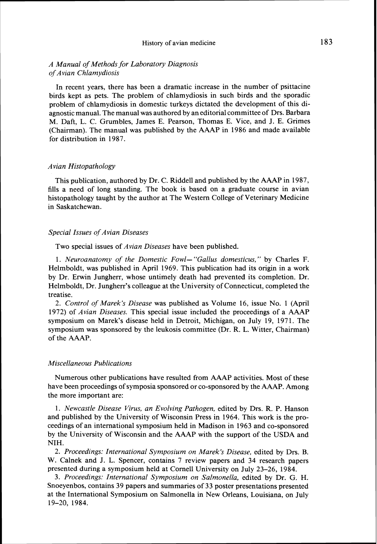#### History of avian medicine

# A Manual of Methods for Laboratory Diagnosis *of Avian Chlarnydiosis*

In recent years, there has been a dramatic increase in the number of psittacine birds kept as pets. The problem of chlamydiosis in such birds and the sporadic problem of chlamydiosis in domestic turkeys dictated the development of this diagnostic manual. The manual was authored by an editorial committee of Drs. Barbara M. Daft, L. C. Grumbles, James E. Pearson, Thomas E. Vice, and J. E. Grimes (Chairman). The manual was published by the AAAP in 1986 and made available for distribution in 1987.

#### *Avian Histopathology*

This publication, authored by Dr. C. Riddell and published by the AAAP in 1987, fills a need of long standing. The book is based on a graduate course in avian histopathology taught by the author at The Western College of Veterinary Medicine in Saskatchewan.

### *Special Issues of Avian Diseases*

Two special issues of *Avian Diseases* have been published.

1. *Neuroanatomy of the Domestic Fowl- "Gallus domesticus,"* by Charles *F.*  Helmboldt, was published in April 1969. This publication had its origin in a work by Dr. Erwin Jungherr, whose untimely death had prevented its completion. Dr. Helmboldt, Dr. Jungherr's colleague at the University of Connecticut, completed the treatise.

2. *Control of Marek's Disease* was published as Volume 16, issue No. 1 (April 1972) of *Avian Diseases.* This special issue included the proceedings of a AAAP symposium on Marek's disease held in Detroit, Michigan, on July 19, 1971. The symposium was sponsored by the leukosis committee (Dr. R. L. Witter, Chairman) of the AAAP.

# *Miscellaneous Publications*

Numerous other publications have resulted from AMP activities. Most of these have been proceedings of symposia sponsored or co-sponsored by the AAAP. Among the more important are:

**1.** *Newcastle Disease Virus, an Evolving Pathogen,* edited by Drs. R. P. Hanson and published by the University of Wisconsin Press in 1964. This work is the proceedings of an international symposium held in Madison in 1963 and co-sponsored by the University of Wisconsin and the AAAP with the support of the USDA and NIH.

2. *Proceedings: International Symposium on Marek's Disease,* edited by Drs. B. W. Calnek and J. L. Spencer, contains 7 review papers and 34 research papers presented during a symposium held at Cornell University on July 23-26, 1984.

3. Proceedings: International Symposium on Salmonella, edited by Dr. G. H. Snoeyenbos, contains 39 papers and summaries of **33** poster presentations presented at the International Symposium on Salmonella in New Orleans, Louisiana, on July 19-20, 1984.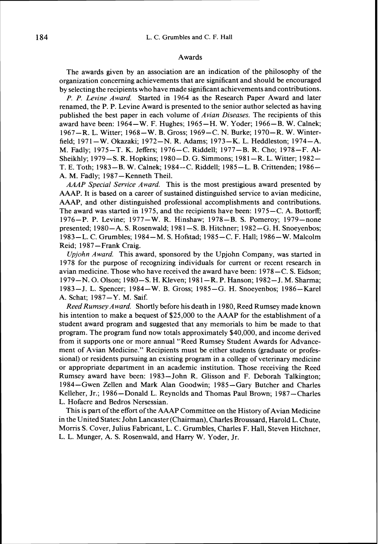#### Awards

The awards given by an association are an indication of the philosophy of the organization concerning achievements that are significant and should be encouraged by selecting the recipients who have made significant achievements and contributions.

P. P. *Levine Award.* Started in 1964 as the Research Paper Award and later renamed, the P. P. Levine Award is presented to the senior author selected as having published the best paper in each volume of *Avian Diseases.* The recipients of this award have been: 1964-W. F. Hughes; 1965-H. W. Yoder; 1966-B. W. Calnek; 1967-R. L. Witter; 1968-W. B. Gross; 1969-C. N. Burke; 1970-R. W. Winterfield; 197 1 -W. Okazaki; 1972-N. R. Adams; 1973-K. L. Heddleston; 1974-A. M. Fadly; 1975-T. K. Jeffers; 1976-C. Riddell; 1977-B. R. Cho; 1978-F. Al-Sheikhly; 1979-S. R. Hopkins; 1980-D. G. Simmons; 1981 -R. L. Witter; 1982- T. E. Toth; 1983-B. W. Calnek; 1984--C. Riddell; 1985-L. B. Crittenden; 1986- A. M. Fadly; 1987-Kenneth Theil.

*AAAP Special Service Award.* This is the most prestigious award presented by AAAP. It is based on a career of sustained distinguished service to avian medicine, AAAP, and other distinguished professional accomplishments and contributions. The award was started in 1975, and the recipients have been: 1975-C. A. Bottorff; 1976-P. P. Levine; 1977-W. R. Hinshaw; 1978-B. S. Pomeroy; 1979-none presented; 1980-A. S. Rosenwald; 198 1 -S. B. Hitchner; 1982-G. H. Snoeyenbos; 1983-L. C. Grumbles; 1984-M. S. Hofstad; 1985-C. F. Hall; 1986- W. Malcolm Reid; 1987-Frank Craig.

*Upjohn Award.* This award, sponsored by the Upjohn Company, was started in 1978 for the purpose of recognizing individuals for current or recent research in avian medicine. Those who have received the award have been: 1978-C. S. Eidson; 1979-N. O. Olson; 1980-S. H. Kleven; 1981-R. P. Hanson; 1982-J. M. Sharma; 1983- J. L. Spencer; 1984- W. B. Gross; 1985 -G. H. Snoeyenbos; 1986-Karel A. Schat; 1987-Y. M. Saif.

*Reed Rumsey Award.* Shortly before his death in 1980, Reed Rumsey made known his intention to make a bequest of \$25,000 to the AAAP for the establishment of a student award program and suggested that any memorials to him be made to that program. The program fund now totals. approximately \$40,000, and income derived from it supports one or more annual "Reed Rumsey Student Awards for Advancement of Avian Medicine." Recipients must be either students (graduate or professional) or residents pursuing an existing program in a college of veterinary medicine or appropriate department in an academic institution. Those receiving the Reed Rumsey award have been: 1983-John R. Glisson and F. Deborah Talkington; 1984-Gwen Zellen and Mark Alan Goodwin; 1985-Gary Butcher and Charles Kelleher, Jr.; 1986–Donald L. Reynolds and Thomas Paul Brown; 1987–Charles L. Hofacre and Bedros Nersessian.

This is part of the effort of the AAAP Committee on the History of Avian Medicine in the United States: John Lancaster (Chairman), Charles Broussard, Harold L. Chute, Morris S. Cover, Julius Fabricant, L. C. Grumbles, Charles F. Hall, Steven Hitchner, L. L. Munger, A. S. Rosenwald, and Harry W. Yoder, Jr.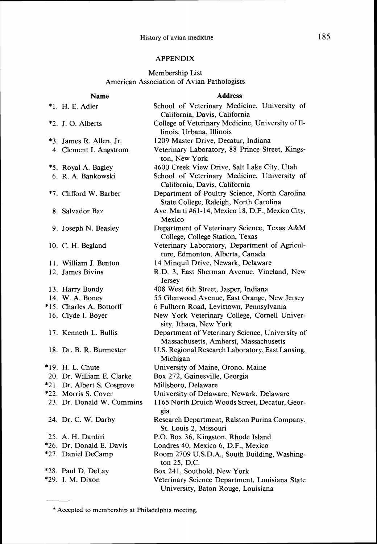# APPENDIX

# Membership List American Association of Avian Pathologists

| Name                        | Address                                                                                  |  |  |
|-----------------------------|------------------------------------------------------------------------------------------|--|--|
| *1. H. E. Adler             | School of Veterinary Medicine, University of<br>California, Davis, California            |  |  |
| *2. J. O. Alberts           | College of Veterinary Medicine, University of Il-<br>linois, Urbana, Illinois            |  |  |
| *3. James R. Allen, Jr.     | 1209 Master Drive, Decatur, Indiana                                                      |  |  |
| 4. Clement I. Angstrom      | Veterinary Laboratory, 88 Prince Street, Kings-<br>ton, New York                         |  |  |
| *5. Royal A. Bagley         | 4600 Creek View Drive, Salt Lake City, Utah                                              |  |  |
| 6. R. A. Bankowski          | School of Veterinary Medicine, University of<br>California, Davis, California            |  |  |
| *7. Clifford W. Barber      | Department of Poultry Science, North Carolina<br>State College, Raleigh, North Carolina  |  |  |
| 8. Salvador Baz             | Ave. Marti #61-14, Mexico 18, D.F., Mexico City,<br>Mexico                               |  |  |
| 9. Joseph N. Beasley        | Department of Veterinary Science, Texas A&M<br>College, College Station, Texas           |  |  |
| 10. C. H. Begland           | Veterinary Laboratory, Department of Agricul-<br>ture, Edmonton, Alberta, Canada         |  |  |
| 11. William J. Benton       | 14 Minquil Drive, Newark, Delaware                                                       |  |  |
| 12. James Bivins            | R.D. 3, East Sherman Avenue, Vineland, New<br>Jersey                                     |  |  |
| 13. Harry Bondy             | 408 West 6th Street, Jasper, Indiana                                                     |  |  |
| 14. W. A. Boney             | 55 Glenwood Avenue, East Orange, New Jersey                                              |  |  |
| *15. Charles A. Bottorff    | 6 Fulltorn Road, Levittown, Pennsylvania                                                 |  |  |
| 16. Clyde I. Boyer          | New York Veterinary College, Cornell Univer-<br>sity, Ithaca, New York                   |  |  |
| 17. Kenneth L. Bullis       | Department of Veterinary Science, University of<br>Massachusetts, Amherst, Massachusetts |  |  |
| 18. Dr. B. R. Burmester     | U.S. Regional Research Laboratory, East Lansing,<br>Michigan                             |  |  |
| *19. H. L. Chute            | University of Maine, Orono, Maine                                                        |  |  |
| 20. Dr. William E. Clarke   | Box 272, Gainesville, Georgia                                                            |  |  |
| *21. Dr. Albert S. Cosgrove | Millsboro, Delaware                                                                      |  |  |
| *22. Morris S. Cover        | University of Delaware, Newark, Delaware                                                 |  |  |
| 23. Dr. Donald W. Cummins   | 1165 North Druich Woods Street, Decatur, Geor-<br>gia                                    |  |  |
| 24. Dr. C. W. Darby         | Research Department, Ralston Purina Company,<br>St. Louis 2, Missouri                    |  |  |
| 25. A. H. Dardiri           | P.O. Box 36, Kingston, Rhode Island                                                      |  |  |
| *26. Dr. Donald E. Davis    | Londres 40, Mexico 6, D.F., Mexico                                                       |  |  |
| *27. Daniel DeCamp          | Room 2709 U.S.D.A., South Building, Washing-<br>ton 25, D.C.                             |  |  |
| *28. Paul D. DeLay          | Box 241, Southold, New York                                                              |  |  |
| *29. J. M. Dixon            | Veterinary Science Department, Louisiana State<br>University, Baton Rouge, Louisiana     |  |  |

<sup>\*</sup> Accepted to membership at Philadelphia meeting.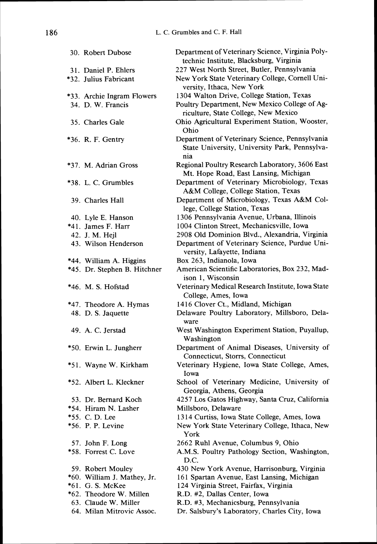| 30. Robert Dubose            | Departmer<br>technic I |
|------------------------------|------------------------|
|                              |                        |
| 31. Daniel P. Ehlers         | 227 West I             |
| *32. Julius Fabricant        | New York               |
|                              | versity, l             |
| *33. Archie Ingram Flowers   | 1304 Walt              |
| 34. D. W. Francis            | Poultry De             |
|                              | riculture              |
| 35. Charles Gale             | Ohio Agrio             |
|                              | Ohio                   |
| *36. R. F. Gentry            | Departmer              |
|                              | State Ur               |
|                              | nia                    |
| *37. M. Adrian Gross         | Regional P             |
|                              | Mt. Hop                |
| *38. L. C. Grumbles          | Departmen              |
|                              | A&M C                  |
| 39. Charles Hall             | Departmer              |
|                              | lege, Col              |
| 40. Lyle E. Hanson           | 1306 Penn              |
| *41. James F. Harr           | 1004 Clint             |
| 42. J. M. Hejl               | 2908 Old 1             |
| 43. Wilson Henderson         | Departmer              |
|                              | versity,               |
| *44. William A. Higgins      | Box 263, I             |
| *45. Dr. Stephen B. Hitchner | American               |
|                              | ison 1, V              |
| *46. M. S. Hofstad           | Veterinary             |
|                              | College,               |
|                              | 1416 Clov              |
| *47. Theodore A. Hymas       |                        |
| 48. D. S. Jaquette           | Delaware               |
|                              | ware                   |
| 49. A. C. Jerstad            | West Wasl              |
|                              | Washing                |
| *50. Erwin L. Jungherr       | Departmer              |
|                              | Connect                |
| *51. Wayne W. Kirkham        | Veterinary             |
|                              | Iowa                   |
| *52. Albert L. Kleckner      | School of              |
|                              | Georgia,               |
| 53. Dr. Bernard Koch         | 4257 Los (             |
| *54. Hiram N. Lasher         | Millsboro,             |
| *55. C. D. Lee               | 1314 Curt:             |
| *56. P. P. Levine            | New York               |
|                              | York                   |
| 57. John F. Long             | 2662 Ruhl              |
| *58. Forrest C. Love         | A.M.S. Po              |
|                              | D.C.                   |
| 59. Robert Mouley            | 430 New 1              |
| *60. William J. Mathey, Jr.  | 161 Sparta             |
| *61. G. S. McKee             | 124 Virgin             |
| *62. Theodore W. Millen      | R.D. #2, I             |
| 63. Claude W. Miller         | R.D. #3, N             |

64. Milan Mitrovic Assoc.

nt of Veterinary Science, Virginia Polynstitute, Blacksburg, Virginia North Street, Butler, Pennsylvania State Veterinary College, Cornell Uni-Ithaca, New York on Drive, College Station, Texas partment, New Mexico College of Ag-, State College, New Mexico cultural Experiment Station, Wooster, nt of Veterinary Science, Pennsylvania hiversity, University Park, Pennsylvaoultry Research Laboratory, 3606 East e Road, East Lansing, Michigan nt of Veterinary Microbiology, Texas ollege, College Station, Texas nt of Microbiology, Texas A&M Colllege Station, Texas sylvania Avenue, Urbana, Illinois ton Street, Mechanicsville, Iowa Dominion Blvd., Alexandria, Virginia nt of Veterinary Science, Purdue Uni-Lafayette, Indiana ndianola, Iowa Scientific Laboratories, Box 232, Mad- $N$ isconsin Medical Research Institute, Iowa State Ames, Iowa er Ct., Midland, Michigan Poultry Laboratory, Millsboro, Delahington Experiment Station, Puyallup, ton nt of Animal Diseases, University of icut, Storrs, Connecticut Hygiene, Iowa State College, Ames, Veterinary Medicine, University of Athens, Georgia Gatos Highway, Santa Cruz, California Delaware iss, Iowa State College, Ames, Iowa State Veterinary College, Ithaca, New Avenue, Columbus 9, Ohio ultry Pathology Section, Washington, York Avenue, Harrisonburg, Virginia In Avenue, East Lansing, Michigan 112 Street, Fairfax, Virginia Dallas Center, Iowa Aechanicsburg, Pennsylvania

Dr. Salsbury's Laboratory, Charles City, Iowa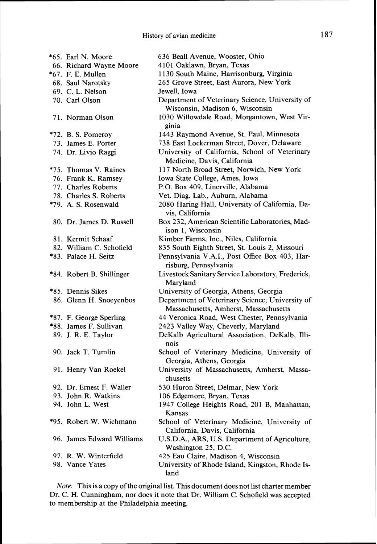| *65. Earl N. Moore        | 636 Beall Avenue, Wooster, Ohio                                               |
|---------------------------|-------------------------------------------------------------------------------|
| 66. Richard Wayne Moore   | 4101 Oaklawn, Bryan, Texas                                                    |
| *67. F. E. Mullen         | 1130 South Maine, Harrisonburg, Virginia                                      |
| 68. Saul Narotsky         | 265 Grove Street, East Aurora, New York                                       |
| 69. C. L. Nelson          | Jewell, Iowa                                                                  |
| 70. Carl Olson            | Department of Veterinary Science, University of                               |
|                           | Wisconsin, Madison 6, Wisconsin                                               |
| 71. Norman Olson          | 1030 Willowdale Road, Morgantown, West Vir-<br>ginia                          |
| *72. B. S. Pomeroy        | 1443 Raymond Avenue, St. Paul, Minnesota                                      |
| 73. James E. Porter       | 738 East Lockerman Street, Dover, Delaware                                    |
| 74. Dr. Livio Raggi       | University of California, School of Veterinary<br>Medicine, Davis, California |
| *75. Thomas V. Raines     | 117 North Broad Street, Norwich, New York                                     |
| 76. Frank K. Ramsey       | Iowa State College, Ames, Iowa                                                |
| 77. Charles Roberts       | P.O. Box 409, Linerville, Alabama                                             |
| 78. Charles S. Roberts    | Vet. Diag. Lab., Auburn, Alabama                                              |
| *79. A. S. Rosenwald      | 2080 Haring Hall, University of California, Da-                               |
|                           | vis, California                                                               |
| 80. Dr. James D. Russell  | Box 232, American Scientific Laboratories, Mad-<br>ison 1, Wisconsin          |
| 81. Kermit Schaaf         | Kimber Farms, Inc., Niles, California                                         |
| 82. William C. Schofield  | 835 South Eighth Street, St. Louis 2, Missouri                                |
| *83. Palace H. Seitz      | Pennsylvania V.A.I., Post Office Box 403, Har-<br>risburg, Pennsylvania       |
| *84. Robert B. Shillinger | Livestock Sanitary Service Laboratory, Frederick,<br>Maryland                 |
| *85. Dennis Sikes         | University of Georgia, Athens, Georgia                                        |
| 86. Glenn H. Snoeyenbos   | Department of Veterinary Science, University of                               |
|                           | Massachusetts, Amherst, Massachusetts                                         |
| *87. F. George Sperling   | 44 Veronica Road, West Chester, Pennsylvania                                  |
| *88. James F. Sullivan    | 2423 Valley Way, Cheverly, Maryland                                           |
| 89. J. R. E. Taylor       | DeKalb Agricultural Association, DeKalb, Illi-                                |
|                           | nois                                                                          |
| 90. Jack T. Tumlin        | School of Veterinary Medicine, University of<br>Georgia, Athens, Georgia      |
| 91. Henry Van Roekel      | University of Massachusetts, Amherst, Massa-<br>chusetts                      |
| 92. Dr. Ernest F. Waller  | 530 Huron Street, Delmar, New York                                            |
| 93. John R. Watkins       | 106 Edgemore, Bryan, Texas                                                    |
| 94. John L. West          | 1947 College Heights Road, 201 B, Manhattan,<br>Kansas                        |
| *95. Robert W. Wichmann   | School of Veterinary Medicine, University of<br>California, Davis, California |
| 96. James Edward Williams | U.S.D.A., ARS, U.S. Department of Agriculture,<br>Washington 25, D.C.         |
| 97. R. W. Winterfield     | 425 Eau Claire, Madison 4, Wisconsin                                          |
| 98. Vance Yates           | University of Rhode Island, Kingston, Rhode Is-<br>land                       |

*Note.* This is a copy of the original list. This document does not list charter member Dr. C. H. Cunningham, nor does it note that Dr. William C. Schofield was accepted to membership at the Philadelphia meeting.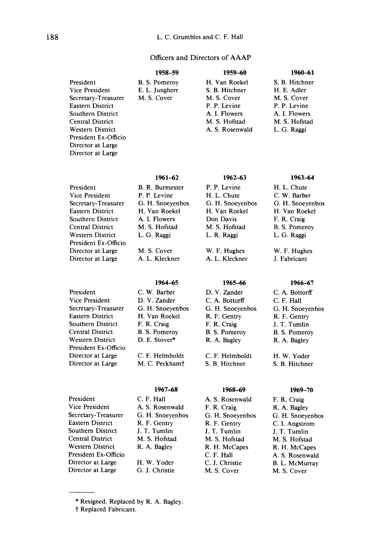# Officers and Directors of AAAP

|                                                                                                                                                                                                              | 1958–59                                        | 1959-60                                                                                                             | 1960-61                                                                                                       |
|--------------------------------------------------------------------------------------------------------------------------------------------------------------------------------------------------------------|------------------------------------------------|---------------------------------------------------------------------------------------------------------------------|---------------------------------------------------------------------------------------------------------------|
| President<br>Vice President<br>Secretary-Treasurer<br>Eastern District<br>Southern District<br><b>Central District</b><br>Western District<br>President Ex-Officio<br>Director at Large<br>Director at Large | B. S. Pomeroy<br>E. L. Jungherr<br>M. S. Cover | H. Van Roekel<br>S. B. Hitchner<br>M. S. Cover<br>P. P. Levine<br>A. I. Flowers<br>M. S. Hofstad<br>A. S. Rosenwald | S. B. Hitchner<br>H. E. Adler<br>M. S. Cover<br>P. P. Levine<br>A. I. Flowers<br>M. S. Hofstad<br>L. G. Raggi |
|                                                                                                                                                                                                              | $1961 - 62$                                    | 1962-63                                                                                                             | 1963-64                                                                                                       |
| President                                                                                                                                                                                                    | B. R. Burmester                                | P. P. Levine                                                                                                        | H. L. Chute                                                                                                   |
| Vice President                                                                                                                                                                                               | P. P. Levine                                   | H. L. Chute                                                                                                         | C. W. Barber                                                                                                  |
| Secretary-Treasurer                                                                                                                                                                                          | G. H. Snoeyenbos                               | G. H. Snoeyenbos                                                                                                    | G. H. Snoevenb                                                                                                |
| Eastern District                                                                                                                                                                                             | H. Van Roekel                                  | H. Van Roekel                                                                                                       | H. Van Roekel                                                                                                 |
| Southern District                                                                                                                                                                                            | A. I. Flowers                                  | Don Davis                                                                                                           | F. R. Craig                                                                                                   |
| Central District                                                                                                                                                                                             | M. S. Hofstad                                  | M. S. Hofstad                                                                                                       | B. S. Pomeroy                                                                                                 |
| <b>Western District</b>                                                                                                                                                                                      | L. G. Raggi                                    | L. R. Raggi                                                                                                         | L. G. Raggi                                                                                                   |
| President Ex-Officio                                                                                                                                                                                         |                                                |                                                                                                                     |                                                                                                               |
| Director at Large                                                                                                                                                                                            | M. S. Cover                                    | W. F. Hughes                                                                                                        | W. F. Hughes                                                                                                  |
| Director at Large                                                                                                                                                                                            | A. L. Kleckner                                 | A. L. Kleckner                                                                                                      | J. Fabricant                                                                                                  |

#### **1964-65**

| President               |
|-------------------------|
| Vice President          |
| Secretary-Treasurer     |
| <b>Eastern District</b> |
| Southern District       |
| <b>Central District</b> |
| <b>Western District</b> |
| President Ex-Officio    |
| Director at Large       |
| Director at Large       |

| C. W. Barber               |
|----------------------------|
| D. V. Zander               |
| G. H. Snoevenbos           |
| H. Van Roekel              |
| F. R. Craig                |
| <b>B. S. Pomerov</b>       |
| D. E. Stover*              |
|                            |
| C. F. Helmboldt            |
| M. C. Peckham <sup>+</sup> |

# **1967-68**

President Vice President Secretary-Treasurer Eastern District Southern District Central District Western District President Ex-Officio Director at Large Director at Large

C. F. Hall **A.** S. Rosenwald G. H. Snoeyenbos R. F. Gentry J. T. Tumlin M. S. Hofstad R. **A.** Bagley H. W. Yoder G. J. Christie

**A.** L. Kleckner

### **1965-66**

D. V. Zander C. **A.** Bottorff G. H. Snoeyenbos R. F. Gentry F. R. Craig B. S. Pomeroy R. A. Bagley C. F. Helmboldt

S. B. Hitchner

### **1968-69**

**A.** S. Rosenwald F. R. Craig G. H. Snoeyenbos R. F. Gentry J. T. Tumlin M. S. Hofstad R. H. McCapes C. F. Hall C. J. Christie M. S. Cover

os

J. Fabricant

#### **1966-67**

C. **A.** Bottorff C. F. Hall G. H. Snoeyenbos R. F. Gentry J. T. Tumlin B. S. Pomeroy R. **A.** Bagley H. W. Yoder

#### **1969-70**

S. B. Hitchner

F. R. Craig R. A. Bagley G. H. Snoeyenbos C. I. Angstrom J. T. Tumlin M. S. Hofstad R. H. McCapes **A.** S. Rosenwald B. L. McMurray M. S. Cover

<sup>\*</sup> Resigned. Replaced by R. A. Bagley.

t Replaced Fabricant.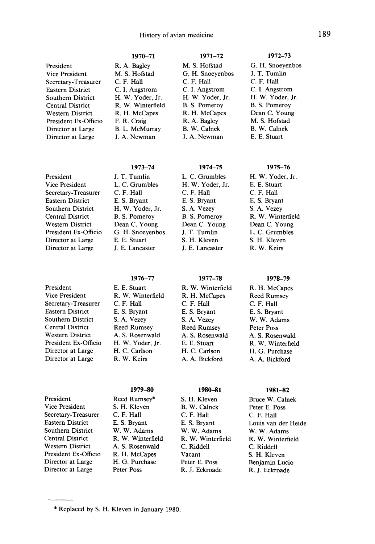#### History of avian medicine

- President Vice President Secretary-Treasurer Eastern District Southern District Central District Western District President Ex-Officio Director at Large Director at Large
- President Vice President Secretary-Treasurer Eastern District Southern District Central District Western District President Ex-Officio Director at Large Director at Large
- President Vice President Secretary-Treasurer Eastern District Southern District Central District Western District President Ex-Officio Director at Large Director at Large
- President Vice President Secretary-Treasurer Eastern District Southern District Central District Western District President Ex-Officio Director at Large Director at Large

### **1970-71**

R. A. Bagley M. S. Hofstad C. F. Hall C. I. Angstrom H. W. Yoder, Jr. R. W. Winterfield R. H. McCapes F. R. Craig B. L. McMurray J. A. Newman

#### **1973-74**

J. T. Tumlin L. C. Grumbles C. F. Hall E. S. Bryant H. W. Yoder, Jr. B. S. Pomeroy Dean C. Young G. H. Snoeyenbos E. E. Stuart J. E. Lancaster

**1976-77**  E. E. Stuart R. W. Winterfield C. F. Hall E. S. Bryant S. A. Vezey Reed Rumsey A. S. Rosenwald H. W. Yoder, Jr. H. C. Carlson R. W. Keirs

**1979-80**  Reed Rumsey\* S. H. Kleven C. F. Hall E. S. Bryant W. W. Adams R. W. Winterfield A. S. Rosenwald R. H. McCapes H. **G.** Purchase Peter Poss

#### $1971 - 72$

M. S. Hofstad G. H. Snoeyenbos C. F. Hall C. I. Angstrom H. W. Yoder, Jr. B. S. Pomeroy R. H. McCapes R. A. Bagley B. W. Calnek J. A. Newman

# **1974-75**

L. C. Grumbles H. W. Yoder, Jr. C. F. Hall E. S. Bryant S. A. Vezey B. S. Pomeroy Dean C. Young J. T. Tumlin S. H. Kleven J. E. Lancaster

**1977-78**  R. W. Winterfield R. H. McCapes C. F. Hall E. S. Bryant S. A. Vezey Reed Rumsey A. S. Rosenwald E. E. Stuart H. C. Carlson A. A. Bickford

**1980-81** S. H. Kleven B. W. Calnek C. F. Hall E. S. Bryant W. W. Adams R. W. Winterfield C. Riddell Vacant Peter E. Poss R. J. Eckroade

#### **1972-73**

G. H. Snoeyenbos J. T. Tumlin C. F. Hall C. I. Angstrom H. W. Yoder, Jr. B. S. Pomeroy Dean C. Young M. S. Hofstad B. W. Calnek E. E. Stuart

## **1975-76**

H. W. Yoder, Jr. E. E. Stuart C. F. Hall E. S. Bryant S. A. Vezey R. W. Winterfield Dean C. Young L. C. Grumbles S. H. Kleven R. W. Keirs

#### **1978-79**

R. H. McCapes Reed Rumsey C. F. Hall E. S. Bryant W. W. Adams Peter Poss A. S. Rosenwald R. W. Winterfield H. G. Purchase A. A. Bickford

#### **1981-82**

Bruce W. Calnek Peter E. Poss C. F. Hall Louis van der Heide W. W. Adams R. W. Winterfield C. Riddell S. H. Kleven Benjamin Lucio R. J. Eckroade

\* Replaced by S. H. Kieven in January 1980.

# 189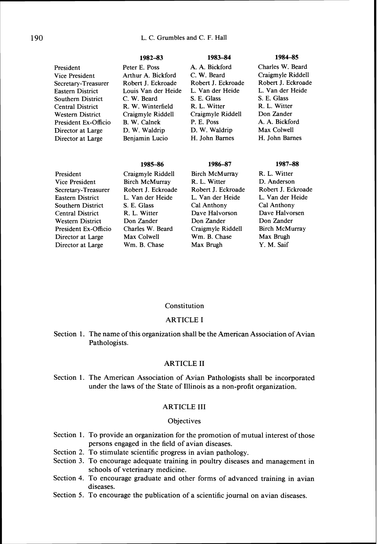|                         | 1982-83             | 1983-84            | 1984-85            |
|-------------------------|---------------------|--------------------|--------------------|
| President               | Peter E. Poss       | A. A. Bickford     | Charles W. Beard   |
| Vice President          | Arthur A. Bickford  | C. W. Beard        | Craigmyle Riddell  |
| Secretary-Treasurer     | Robert J. Eckroade  | Robert J. Eckroade | Robert J. Eckroade |
| <b>Eastern District</b> | Louis Van der Heide | L. Van der Heide   | L. Van der Heide   |
| Southern District       | C. W. Beard         | S. E. Glass        | S. E. Glass        |
| <b>Central District</b> | R. W. Winterfield   | R. L. Witter       | R. L. Witter       |
| <b>Western District</b> | Craigmyle Riddell   | Craigmyle Riddell  | Don Zander         |
| President Ex-Officio    | B. W. Calnek        | P. E. Poss         | A. A. Bickford     |
| Director at Large       | D. W. Waldrip       | D. W. Waldrip      | Max Colwell        |
| Director at Large       | Benjamin Lucio      | H. John Barnes     | H. John Barnes     |
|                         | 1985-86             | 1986-87            | 1987-88            |
| President               | Craigmyle Riddell   | Birch McMurray     | R. L. Witter       |

Vice President Secretary-Treasurer Eastern District Southern District Central District Western District President Ex-Officio Director at Large Director at Large

Craigmyle Riddell Birch McMurray Robert J. Eckroade L. Van der Heide S. E. Glass R. L. Witter Don Zander Charles W. Beard Max Colwell Wm. B. Chase

Birch McMurray R. L. Witter Robert J. Eckroade L. Van der Heide Cal Anthony Dave Halvorson Don Zander Craigmyle Riddell Wm. B. Chase Max Brugh

R. L. Witter D. Anderson Robert J. Eckroade L. Van der Heide Cal Anthony Dave Halvorsen Don Zander Birch McMurray Max Brugh Y. M. Saif

### Constitution

# ARTICLE I

Section 1. The name of this organization shall be the American Association of Avian Pathologists.

# ARTICLE I1

Section 1. The American Association of Avian Pathologists shall be incorporated under the laws of the State of Illinois as a non-profit organization.

# **ARTICLE III**

#### Objectives

- Section 1. To provide an organization for the promotion of mutual interest of those persons engaged in the field of avian diseases.
- Section 2. To stimulate scientific progress in avian pathology.
- Section **3.** To encourage adequate training in poultry diseases and management in schools of veterinary medicine.
- Section 4. To encourage graduate and other forms of advanced training in avian diseases.
- Section *5.* To encourage the publication of a scientific journal on avian diseases.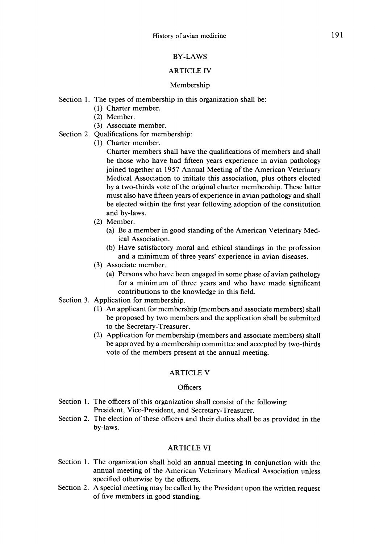# BY-LAWS

# ARTICLE IV

# Membership

- Section 1. The types of membership in this organization shall be:
	- (1) Charter member.
	- (2) Member.
	- (3) Associate member.
- Section 2. Qualifications for membership:
	- (1) Charter member.

Charter members shall have the qualifications of members and shall be those who have had fifteen years experience in avian pathology joined together at 1957 Annual Meeting of the American Veterinary Medical Association to initiate this association, plus others elected by a two-thirds vote of the original charter membership. These latter must also have fifteen years of experience in avian pathology and shall be elected within the first year following adoption of the constitution and by-laws.

- (2) Member.
	- (a) Be a member in good standing of the American Veterinary Medical Association.
	- (b) Have satisfactory moral and ethical standings in the profession and a minimum of three years' experience in avian diseases.
- **(3)** Associate member.
	- (a) Persons who have been engaged in some phase of avian pathology for a minimum of three years and who have made significant contributions to the knowledge in this field.
- Section 3. Application for membership.
	- (1) An applicant for membership (members and associate members) shall be proposed by two members and the application shall be submitted to the Secretary-Treasurer.
	- (2) Application for membership (members and associate members) shall be approved by a membership committee and accepted by two-thirds vote of the members present at the annual meeting.

# ARTICLE V

# **Officers**

- Section 1. The officers of this organization shall consist of the following: President, Vice-President, and Secretary-Treasurer.
- Section 2. The election of these officers and their duties shall be as provided in the by-laws.

# ARTICLE VI

- Section 1. The organization shall hold an annual meeting in conjunction with the annual meeting of the American Veterinary Medical Association unless specified otherwise by the officers.
- Section 2. A special meeting may be called by the President upon the written request of five members in good standing.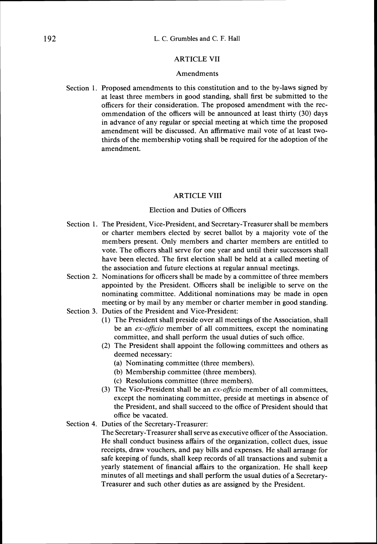# ARTICLE VII

#### Amendments

Section 1. Proposed amendments to this constitution and to the by-laws signed by at least three members in good standing, shall first be submitted to the officers for their consideration. The proposed amendment with the recommendation of the officers will be announced at least thirty (30) days in advance of any regular or special meeting at which time the proposed amendment will be discussed. An affirmative mail vote of at least twothirds of the membership voting shall be required for the adoption of the amendment.

# ARTICLE VIII

# Election and Duties of Officers

- Section 1. The President, Vice-President, and Secretary-Treasurer shall be members or charter members elected by secret ballot by a majority vote of the members present. Only members and charter members are entitled to vote. The officers shall serve for one year and until their successors shall have been elected. The first election shall be held at a called meeting of the association and future elections at regular annual meetings.
- Section 2. Nominations for officers shall be made by a committee of three members appointed by the President. Officers shall be ineligible to serve on the nominating committee. Additional nominations may be made in open meeting or by mail by any member or charter member in good standing.
- Section 3. Duties of the President and Vice-President:
	- (1) The President shall preside over all meetings of the Association, shall be an *ex-oficio* member of all committees, except the nominating committee, and shall perform the usual duties of such office.
	- (2) The President shall appoint the following committees and others as deemed necessary:
		- (a) Nominating committee (three members).
		- (b) Membership committee (three members).
		- (c) Resolutions committee (three members).
	- **(3)** The Vice-President shall be an *ex-oficio* member of all committees, except the nominating committee, preside at meetings in absence of the President, and shall succeed to the office of President should that office be vacated.
- Section 4. Duties of the Secretary-Treasurer:

The Secretary-Treasurer shall serve as executive officer of the Association. He shall conduct business affairs of the organization, collect dues, issue receipts, draw vouchers, and pay bills and expenses. He shall arrange for safe keeping of funds, shall keep records of all transactions and submit a yearly statement of financial affairs to the organization. He shall keep minutes of all meetings and shall perform the usual duties of a Secretary-Treasurer and such other duties as are assigned by the President.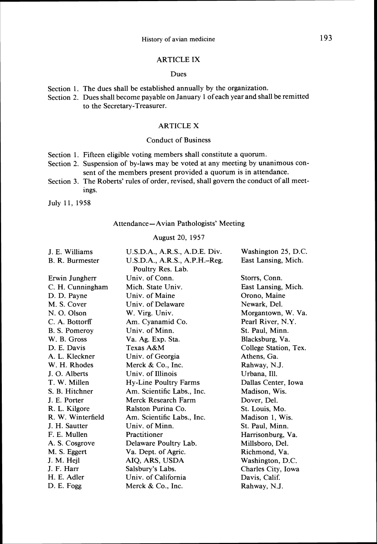# ARTICLE IX

### Dues

- Section I. The dues shall be established annually by the organization.
- Section 2. Dues shall become payable on January 1 of each year and shall be remitted to the Secretary-Treasurer.

# ARTICLE X

# Conduct of Business

- Section 1. Fifteen eligible voting members shall constitute a quorum.
- Section 2. Suspension of by-laws may be voted at any meeting by unanimous consent of the members present provided a quorum is in attendance.
- Section **3.** The Roberts' rules of order, revised, shall govern the conduct of all meetings.

July 11, 1958

## Attendance- Avian Pathologists' Meeting

August 20, 1957

| J. E. Williams    | U.S.D.A., A.R.S., A.D.E. Div. | Washington 25, D.C.   |
|-------------------|-------------------------------|-----------------------|
| B. R. Burmester   | U.S.D.A., A.R.S., A.P.H.-Reg. | East Lansing, Mich.   |
|                   | Poultry Res. Lab.             |                       |
| Erwin Jungherr    | Univ. of Conn.                | Storrs, Conn.         |
| C. H. Cunningham  | Mich. State Univ.             | East Lansing, Mich.   |
| D. D. Payne       | Univ. of Maine                | Orono, Maine          |
| M. S. Cover       | Univ. of Delaware             | Newark, Del.          |
| N. O. Olson       | W. Virg. Univ.                | Morgantown, W. Va.    |
| C. A. Bottorff    | Am. Cyanamid Co.              | Pearl River, N.Y.     |
| B. S. Pomerov     | Univ. of Minn.                | St. Paul, Minn.       |
| W. B. Gross       | Va. Ag. Exp. Sta.             | Blacksburg, Va.       |
| D. E. Davis       | Texas A&M                     | College Station, Tex. |
| A. L. Kleckner    | Univ. of Georgia              | Athens, Ga.           |
| W. H. Rhodes      | Merck & Co., Inc.             | Rahway, N.J.          |
| J. O. Alberts     | Univ. of Illinois             | Urbana, Ill.          |
| T. W. Millen      | Hy-Line Poultry Farms         | Dallas Center, Iowa   |
| S. B. Hitchner    | Am. Scientific Labs., Inc.    | Madison, Wis.         |
| J. E. Porter      | Merck Research Farm           | Dover, Del.           |
| R. L. Kilgore     | Ralston Purina Co.            | St. Louis, Mo.        |
| R. W. Winterfield | Am. Scientific Labs., Inc.    | Madison 1, Wis.       |
| J. H. Sautter     | Univ. of Minn.                | St. Paul, Minn.       |
| F. E. Mullen      | Practitioner                  | Harrisonburg, Va.     |
| A. S. Cosgrove    | Delaware Poultry Lab.         | Millsboro, Del.       |
| M. S. Eggert      | Va. Dept. of Agric.           | Richmond, Va.         |
| J. M. Hejl        | AIQ, ARS, USDA                | Washington, D.C.      |
| J. F. Harr        | Salsbury's Labs.              | Charles City, Iowa    |
| H. E. Adler       | Univ. of California           | Davis, Calif.         |
| D. E. Fogg        | Merck & Co., Inc.             | Rahway, N.J.          |